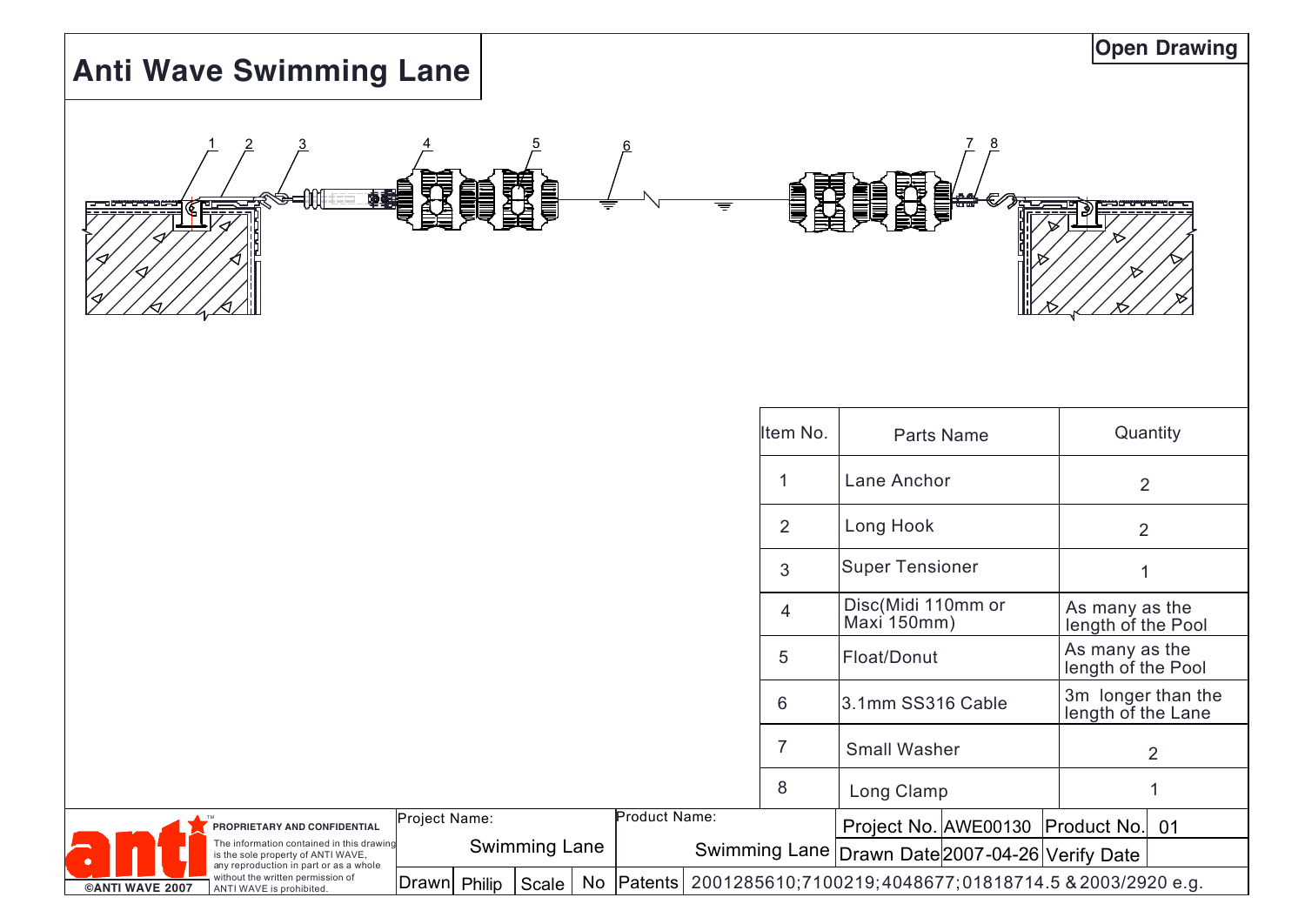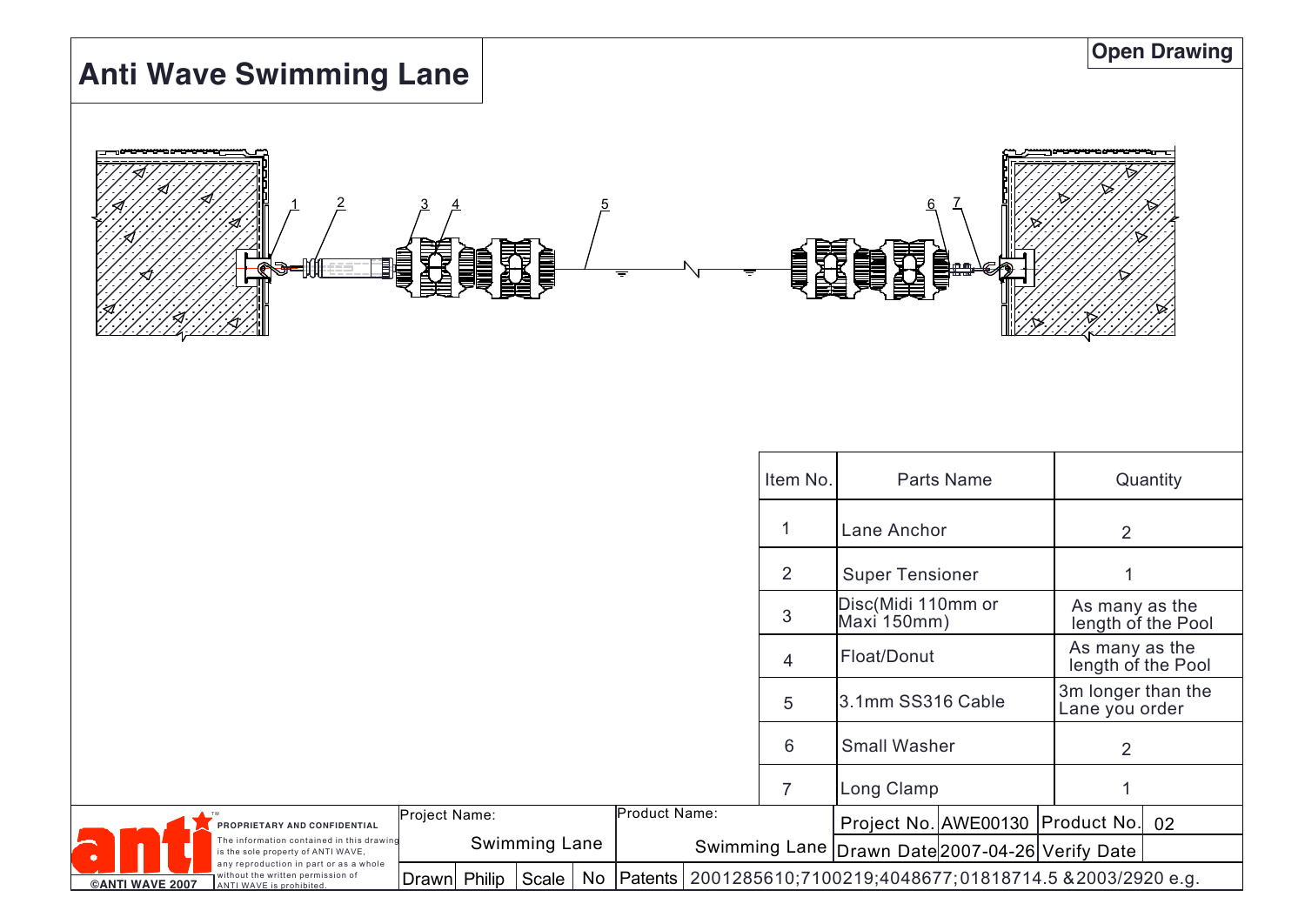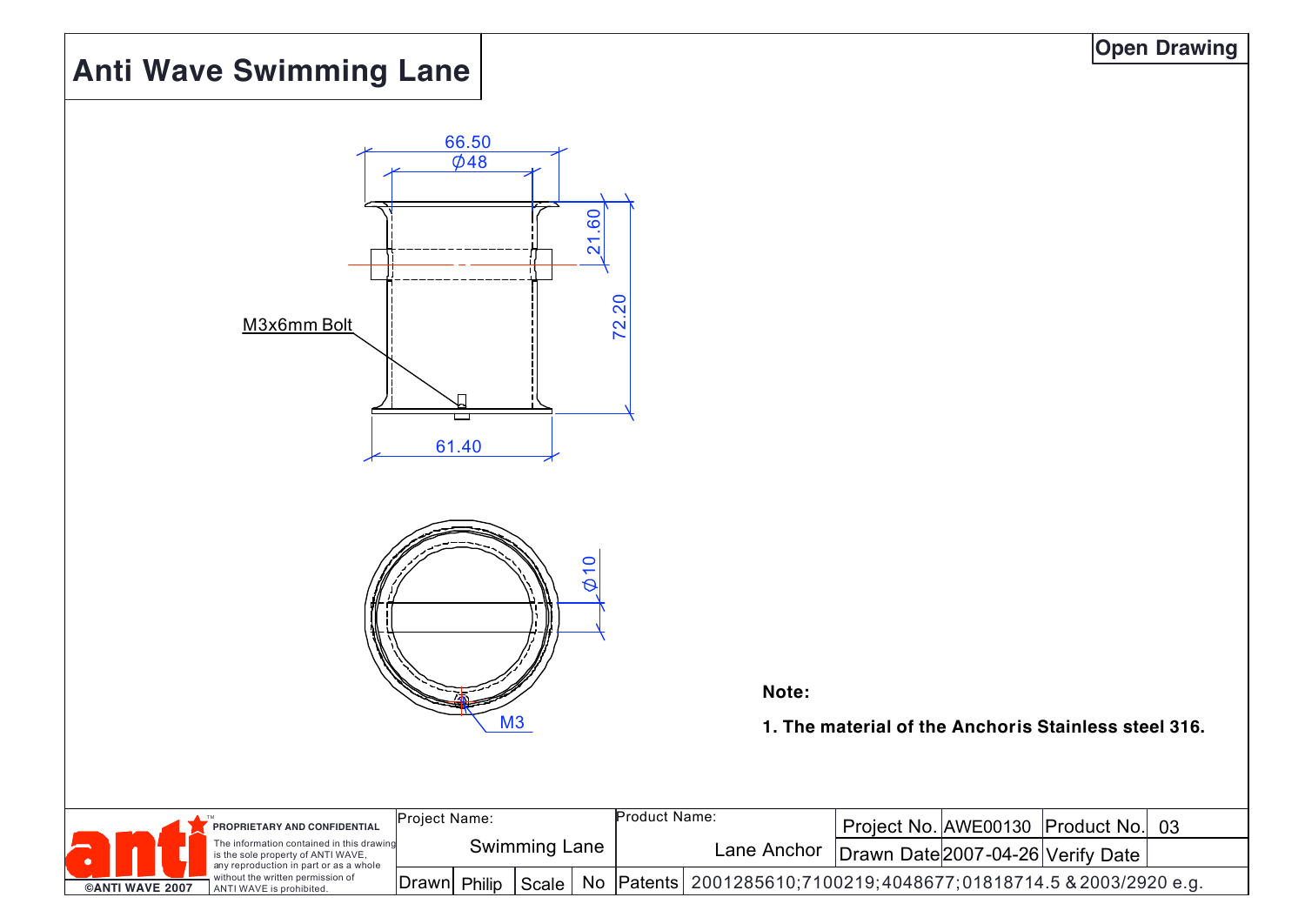# **Anti Wave Swimming Lane**



**Note:**

**1. The material of the Anchor is Stainless steel 316.**

|                        |  | PROPRIETARY AND CONFIDENTIAL                                                                                                                                                               | 'Project Name: |        | Product Name: |  |                                                                      | Project No. AWE00130 Product No. | -03                               |  |
|------------------------|--|--------------------------------------------------------------------------------------------------------------------------------------------------------------------------------------------|----------------|--------|---------------|--|----------------------------------------------------------------------|----------------------------------|-----------------------------------|--|
|                        |  | The information contained in this drawing<br>is the sole property of ANTI WAVE,<br>any reproduction in part or as a whole<br>without the written permission of<br>ANTI WAVE is prohibited. | Swimming Lane  |        |               |  | Lane Anchor                                                          |                                  | Drawn Date 2007-04-26 Verify Date |  |
| <b>©ANTI WAVE 2007</b> |  |                                                                                                                                                                                            | Drawn          | Philip | Scale         |  | No Patents 2001285610, 7100219, 4048677, 01818714.5 & 2003/2920 e.g. |                                  |                                   |  |

#### **Open Drawing**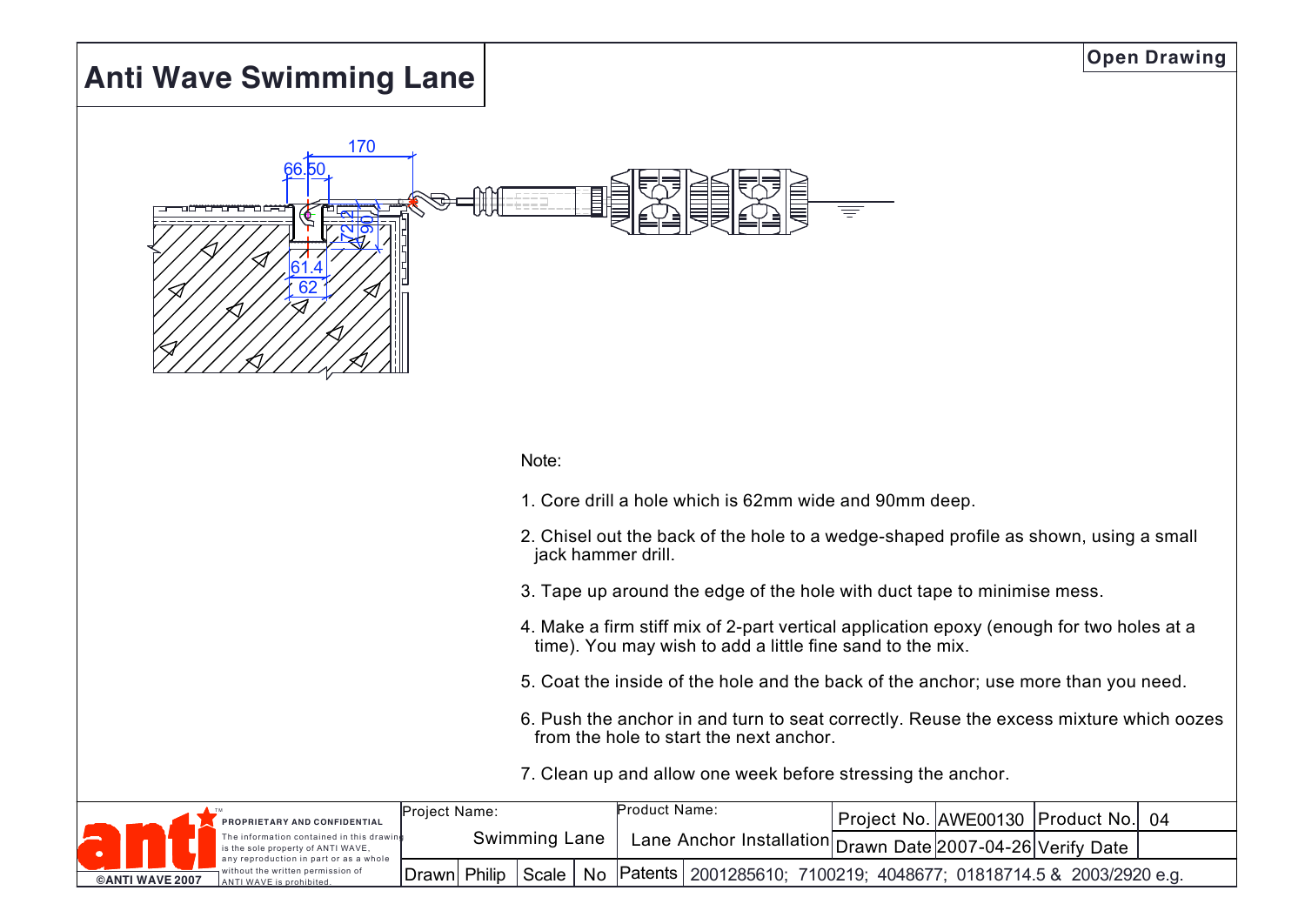## **Anti Wave Swimming Lane**



#### Note:

- 1. Core drill a hole which is 62mm wide and 90mm deep.
- 2. Chisel out the back of the hole to a wedge-shaped profile as shown, using a small jack hammer drill.
- 3. Tape up around the edge of the hole with duct tape to minimise mess.
- 4. Make a firm stiff mix of 2-part vertical application epoxy (enough for two holes at a time). You may wish to add a little fine sand to the mix.
- 5. Coat the inside of the hole and the back of the anchor; use more than you need.
- 6. Push the anchor in and turn to seat correctly. Reuse the excess mixture which oozes from the hole to start the next anchor.
- 7. Clean up and allow one week before stressing the anchor.

|  | PROPRIETARY AND CONFIDENTIAL                                                                                                      | <b>Project Name:</b> |  |       | Product Name:                                                                                      |                                                                          |  | Project No. AWE00130   Product No.   04 |  |
|--|-----------------------------------------------------------------------------------------------------------------------------------|----------------------|--|-------|----------------------------------------------------------------------------------------------------|--------------------------------------------------------------------------|--|-----------------------------------------|--|
|  | The information contained in this drawind<br>is the sole property of ANTI WAVE,                                                   | Swimming Lane        |  |       | ⊤ Lane Anchor Installation  <sub>Drawn</sub> Date <sup> </sup> 2007-04-26 Verify Date <sup> </sup> |                                                                          |  |                                         |  |
|  | any reproduction in part or as a whole<br>without the written permission of<br><b>©ANTI WAVE 2007</b><br>ANTI WAVE is prohibited. | Drawn  Philip        |  | Scale |                                                                                                    | No   Patents   2001285610; 7100219; 4048677; 01818714.5 & 2003/2920 e.g. |  |                                         |  |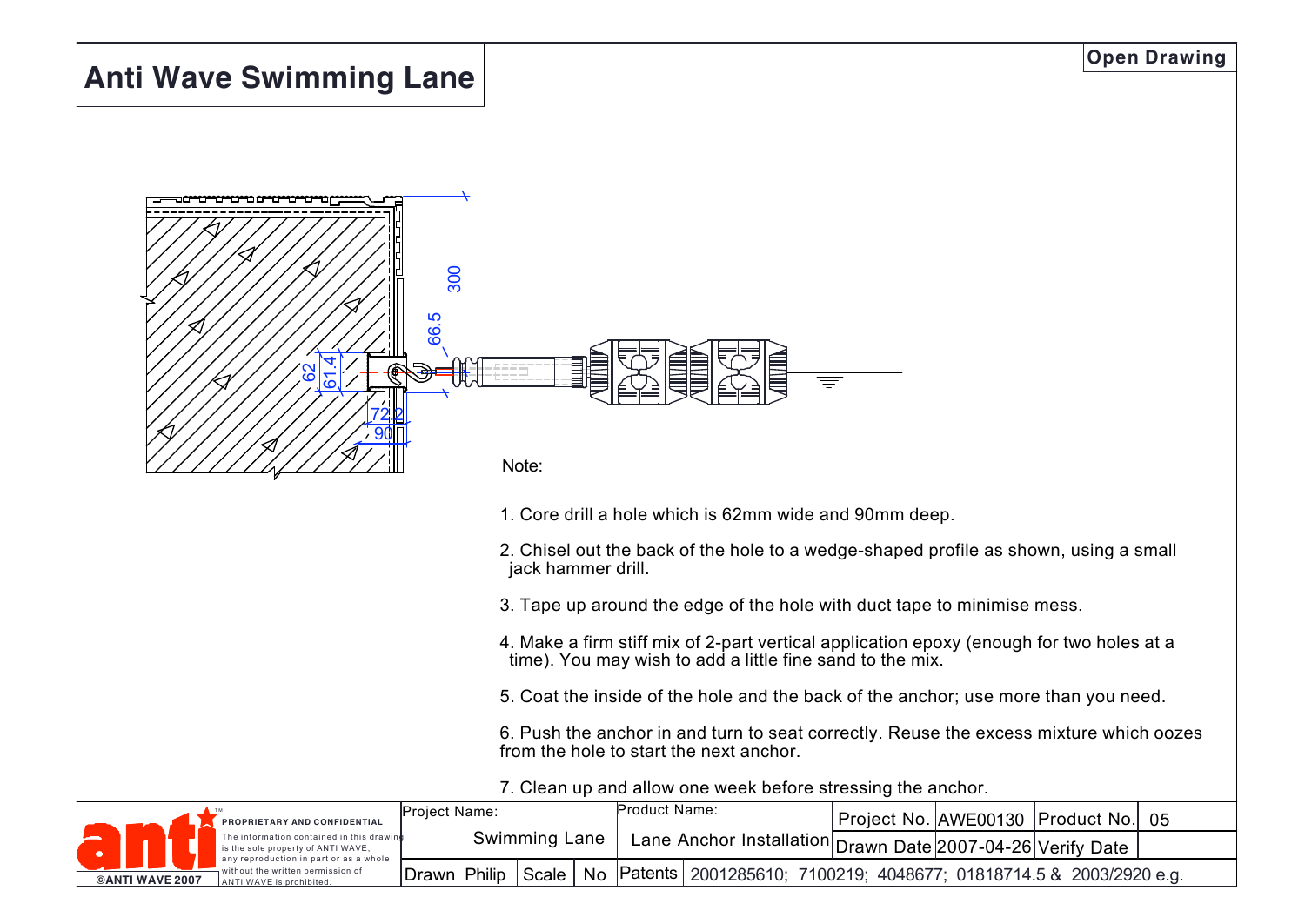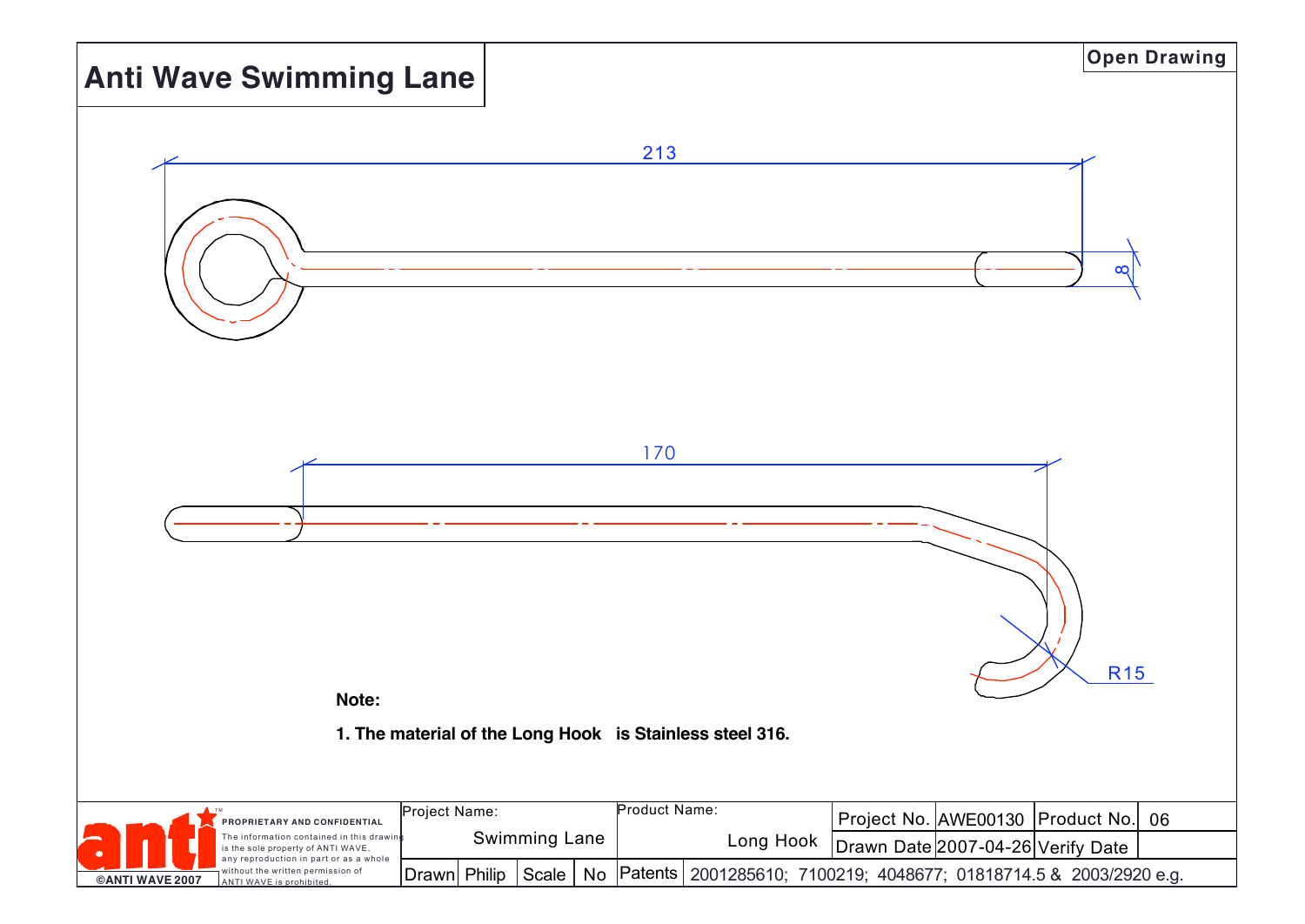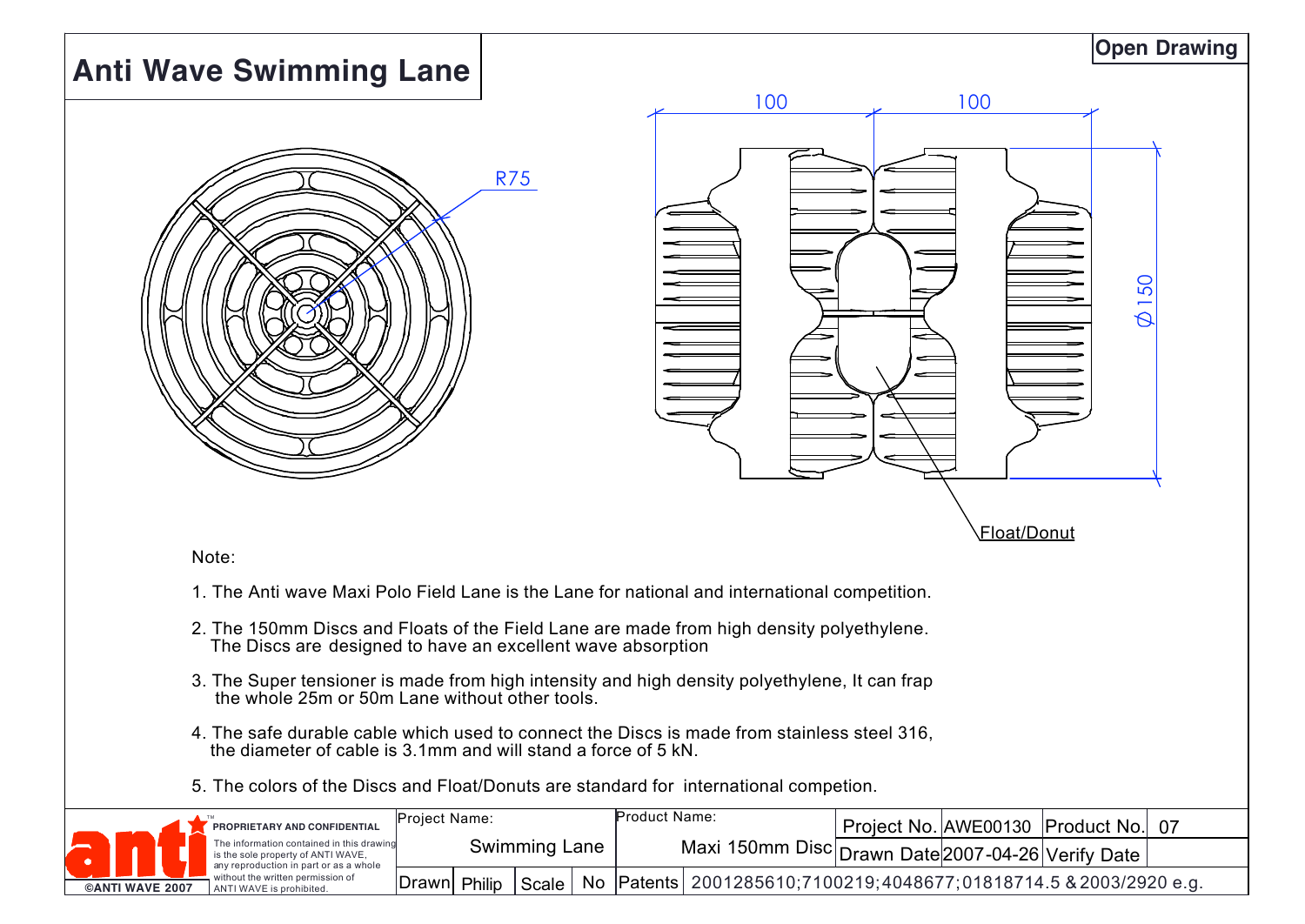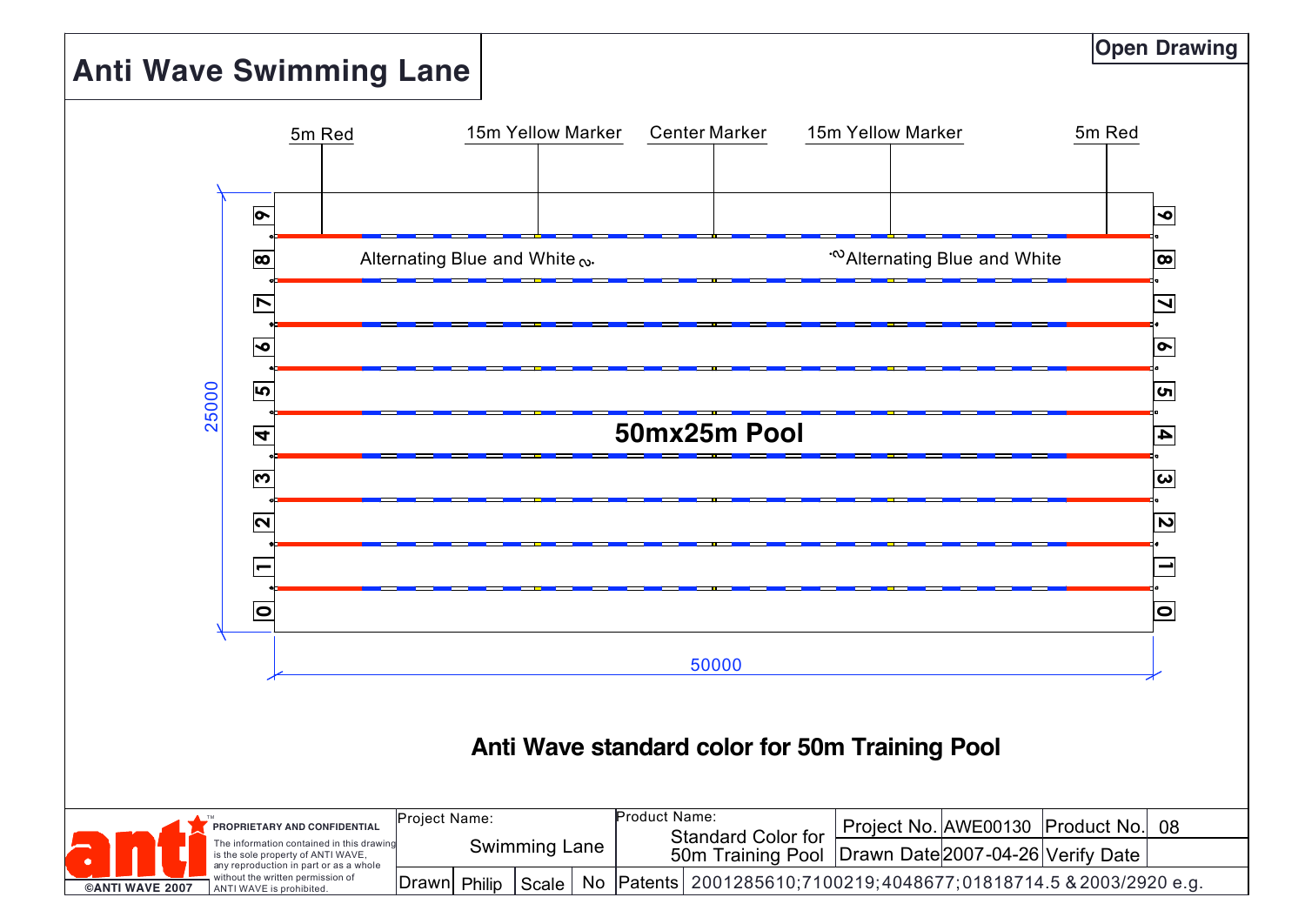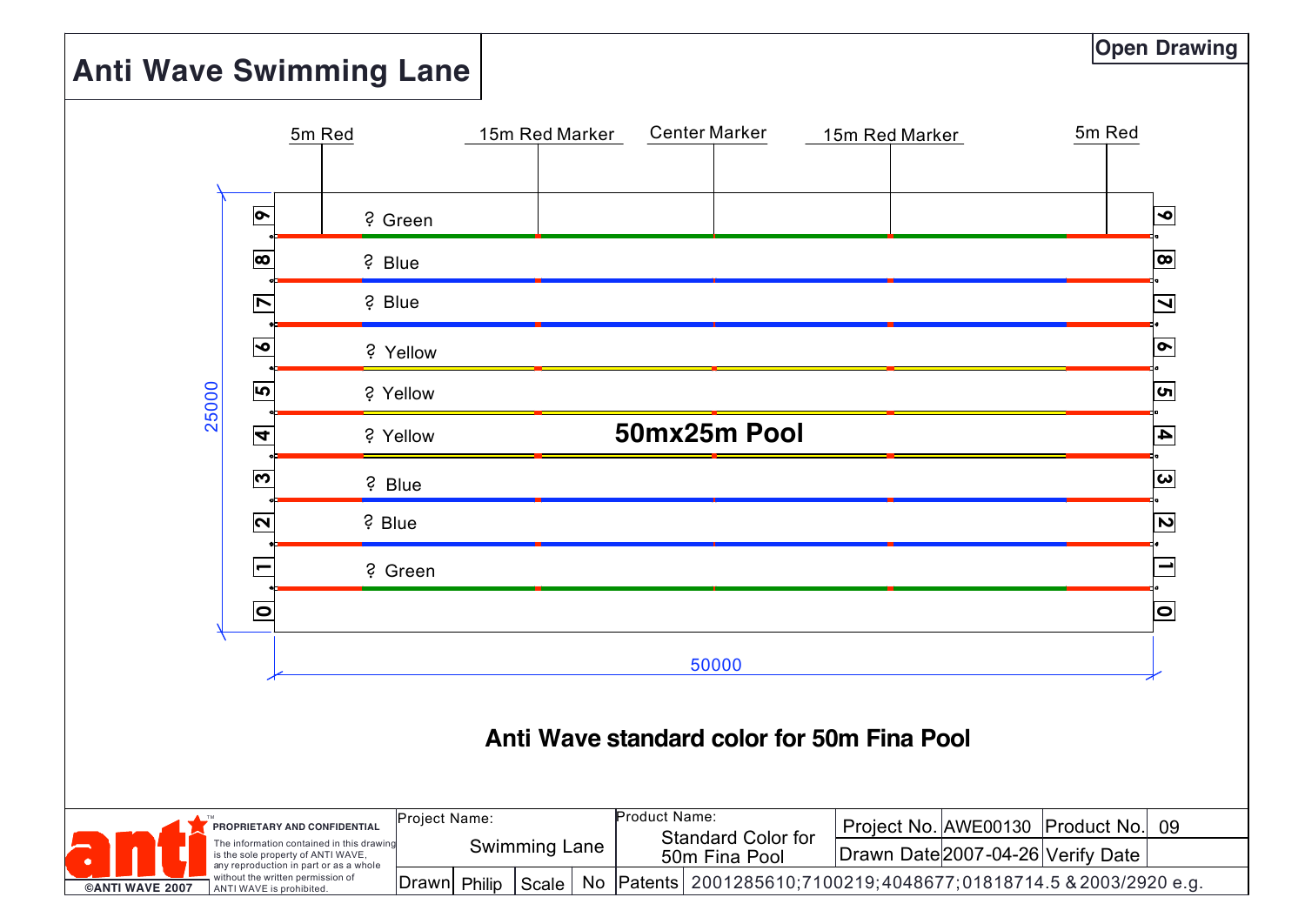### **Anti Wave Swimming Lane**

**Open Drawing** 



Philip  $D$ rawn Philip Scale without the written permission of |Drawn| Philip | Scale | No |Patents| 2001285610;7100219;4048677;01818714.5 & 2003/2920 e.g.  **©ANTI WAVE 2007** ANTI WAVE is prohibited.